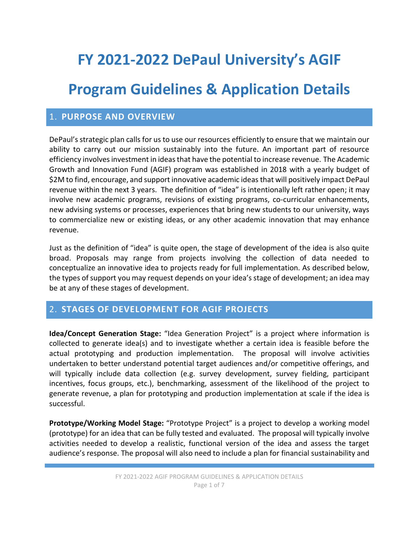# **FY 2021-2022 DePaul University's AGIF**

## **Program Guidelines & Application Details**

#### 1. **PURPOSE AND OVERVIEW**

DePaul's strategic plan calls for us to use our resources efficiently to ensure that we maintain our ability to carry out our mission sustainably into the future. An important part of resource efficiency involves investment in ideas that have the potential to increase revenue. The Academic Growth and Innovation Fund (AGIF) program was established in 2018 with a yearly budget of \$2M to find, encourage, and support innovative academic ideas that will positively impact DePaul revenue within the next 3 years. The definition of "idea" is intentionally left rather open; it may involve new academic programs, revisions of existing programs, co-curricular enhancements, new advising systems or processes, experiences that bring new students to our university, ways to commercialize new or existing ideas, or any other academic innovation that may enhance revenue.

Just as the definition of "idea" is quite open, the stage of development of the idea is also quite broad. Proposals may range from projects involving the collection of data needed to conceptualize an innovative idea to projects ready for full implementation. As described below, the types of support you may request depends on your idea's stage of development; an idea may be at any of these stages of development.

#### 2. **STAGES OF DEVELOPMENT FOR AGIF PROJECTS**

**Idea/Concept Generation Stage:** "Idea Generation Project" is a project where information is collected to generate idea(s) and to investigate whether a certain idea is feasible before the actual prototyping and production implementation. The proposal will involve activities undertaken to better understand potential target audiences and/or competitive offerings, and will typically include data collection (e.g. survey development, survey fielding, participant incentives, focus groups, etc.), benchmarking, assessment of the likelihood of the project to generate revenue, a plan for prototyping and production implementation at scale if the idea is successful.

**Prototype/Working Model Stage:** "Prototype Project" is a project to develop a working model (prototype) for an idea that can be fully tested and evaluated. The proposal will typically involve activities needed to develop a realistic, functional version of the idea and assess the target audience's response. The proposal will also need to include a plan for financial sustainability and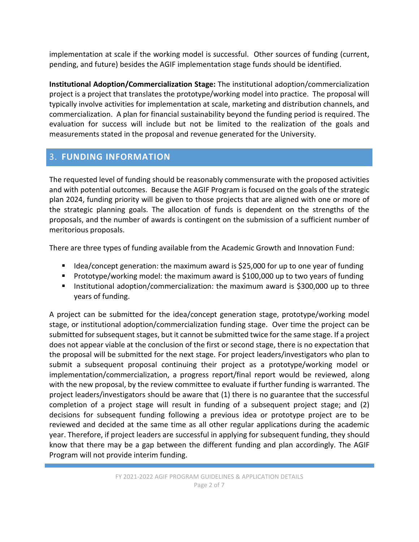implementation at scale if the working model is successful. Other sources of funding (current, pending, and future) besides the AGIF implementation stage funds should be identified.

**Institutional Adoption/Commercialization Stage:** The institutional adoption/commercialization project is a project that translates the prototype/working model into practice. The proposal will typically involve activities for implementation at scale, marketing and distribution channels, and commercialization. A plan for financial sustainability beyond the funding period is required. The evaluation for success will include but not be limited to the realization of the goals and measurements stated in the proposal and revenue generated for the University.

## 3. **FUNDING INFORMATION**

The requested level of funding should be reasonably commensurate with the proposed activities and with potential outcomes. Because the AGIF Program is focused on the goals of the strategic plan 2024, funding priority will be given to those projects that are aligned with one or more of the strategic planning goals. The allocation of funds is dependent on the strengths of the proposals, and the number of awards is contingent on the submission of a sufficient number of meritorious proposals.

There are three types of funding available from the Academic Growth and Innovation Fund:

- Idea/concept generation: the maximum award is \$25,000 for up to one year of funding
- Prototype/working model: the maximum award is \$100,000 up to two years of funding
- Institutional adoption/commercialization: the maximum award is \$300,000 up to three years of funding.

A project can be submitted for the idea/concept generation stage, prototype/working model stage, or institutional adoption/commercialization funding stage. Over time the project can be submitted for subsequent stages, but it cannot be submitted twice for the same stage. If a project does not appear viable at the conclusion of the first or second stage, there is no expectation that the proposal will be submitted for the next stage. For project leaders/investigators who plan to submit a subsequent proposal continuing their project as a prototype/working model or implementation/commercialization, a progress report/final report would be reviewed, along with the new proposal, by the review committee to evaluate if further funding is warranted. The project leaders/investigators should be aware that (1) there is no guarantee that the successful completion of a project stage will result in funding of a subsequent project stage; and (2) decisions for subsequent funding following a previous idea or prototype project are to be reviewed and decided at the same time as all other regular applications during the academic year. Therefore, if project leaders are successful in applying for subsequent funding, they should know that there may be a gap between the different funding and plan accordingly. The AGIF Program will not provide interim funding.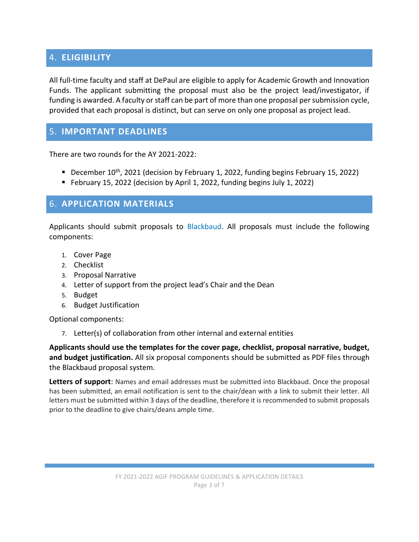## 4. **ELIGIBILITY**

All full-time faculty and staff at DePaul are eligible to apply for Academic Growth and Innovation Funds. The applicant submitting the proposal must also be the project lead/investigator, if funding is awarded. A faculty or staff can be part of more than one proposal per submission cycle, provided that each proposal is distinct, but can serve on only one proposal as project lead.

## 5. **IMPORTANT DEADLINES**

There are two rounds for the AY 2021-2022:

- December 10<sup>th</sup>, 2021 (decision by February 1, 2022, funding begins February 15, 2022)
- February 15, 2022 (decision by April 1, 2022, funding begins July 1, 2022)

#### 6. **APPLICATION MATERIALS**

Applicants should submit proposals to [Blackbaud.](https://depaulgrants.academicworks.com/) All proposals must include the following components:

- 1. Cover Page
- 2. Checklist
- 3. Proposal Narrative
- 4. Letter of support from the project lead's Chair and the Dean
- 5. Budget
- 6. Budget Justification

Optional components:

7. Letter(s) of collaboration from other internal and external entities

**Applicants should use the templates for the cover page, checklist, proposal narrative, budget, and budget justification.** All six proposal components should be submitted as PDF files through the Blackbaud proposal system.

**Letters of support**: Names and email addresses must be submitted into Blackbaud. Once the proposal has been submitted, an email notification is sent to the chair/dean with a link to submit their letter. All letters must be submitted within 3 days of the deadline, therefore it is recommended to submit proposals prior to the deadline to give chairs/deans ample time.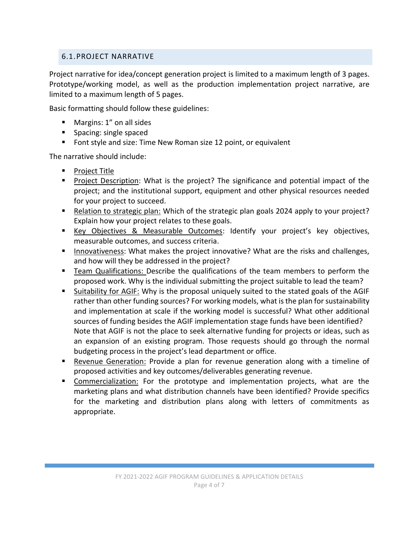#### 6.1.PROJECT NARRATIVE

Project narrative for idea/concept generation project is limited to a maximum length of 3 pages. Prototype/working model, as well as the production implementation project narrative, are limited to a maximum length of 5 pages.

Basic formatting should follow these guidelines:

- **Margins: 1" on all sides**
- **Spacing: single spaced**
- **F** Font style and size: Time New Roman size 12 point, or equivalent

The narrative should include:

- **Project Title**
- **Project Description: What is the project? The significance and potential impact of the** project; and the institutional support, equipment and other physical resources needed for your project to succeed.
- Relation to strategic plan: Which of the strategic plan goals 2024 apply to your project? Explain how your project relates to these goals.
- Key Objectives & Measurable Outcomes: Identify your project's key objectives, measurable outcomes, and success criteria.
- **Innovativeness: What makes the project innovative? What are the risks and challenges,** and how will they be addressed in the project?
- Team Qualifications: Describe the qualifications of the team members to perform the proposed work. Why is the individual submitting the project suitable to lead the team?
- Suitability for AGIF: Why is the proposal uniquely suited to the stated goals of the AGIF rather than other funding sources? For working models, what is the plan for sustainability and implementation at scale if the working model is successful? What other additional sources of funding besides the AGIF implementation stage funds have been identified? Note that AGIF is not the place to seek alternative funding for projects or ideas, such as an expansion of an existing program. Those requests should go through the normal budgeting process in the project's lead department or office.
- **Revenue Generation: Provide a plan for revenue generation along with a timeline of** proposed activities and key outcomes/deliverables generating revenue.
- **Commercialization:** For the prototype and implementation projects, what are the marketing plans and what distribution channels have been identified? Provide specifics for the marketing and distribution plans along with letters of commitments as appropriate.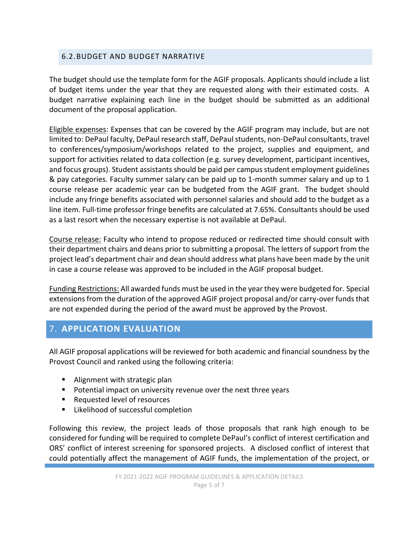#### 6.2.BUDGET AND BUDGET NARRATIVE

The budget should use the template form for the AGIF proposals. Applicants should include a list of budget items under the year that they are requested along with their estimated costs. A budget narrative explaining each line in the budget should be submitted as an additional document of the proposal application.

Eligible expenses: Expenses that can be covered by the AGIF program may include, but are not limited to: DePaul faculty, DePaul research staff, DePaul students, non-DePaul consultants, travel to conferences/symposium/workshops related to the project, supplies and equipment, and support for activities related to data collection (e.g. survey development, participant incentives, and focus groups). Student assistants should be paid per campus student employment guidelines & pay categories. Faculty summer salary can be paid up to 1-month summer salary and up to 1 course release per academic year can be budgeted from the AGIF grant. The budget should include any fringe benefits associated with personnel salaries and should add to the budget as a line item. Full-time professor fringe benefits are calculated at 7.65%. Consultants should be used as a last resort when the necessary expertise is not available at DePaul.

Course release: Faculty who intend to propose reduced or redirected time should consult with their department chairs and deans prior to submitting a proposal. The letters of support from the project lead's department chair and dean should address what plans have been made by the unit in case a course release was approved to be included in the AGIF proposal budget.

Funding Restrictions: All awarded funds must be used in the year they were budgeted for. Special extensions from the duration of the approved AGIF project proposal and/or carry-over funds that are not expended during the period of the award must be approved by the Provost.

## 7. **APPLICATION EVALUATION**

All AGIF proposal applications will be reviewed for both academic and financial soundness by the Provost Council and ranked using the following criteria:

- **Alignment with strategic plan**
- Potential impact on university revenue over the next three years
- Requested level of resources
- **EXECUTE:** Likelihood of successful completion

Following this review, the project leads of those proposals that rank high enough to be considered for funding will be required to complete DePaul's conflict of interest certification and ORS' conflict of interest screening for sponsored projects. A disclosed conflict of interest that could potentially affect the management of AGIF funds, the implementation of the project, or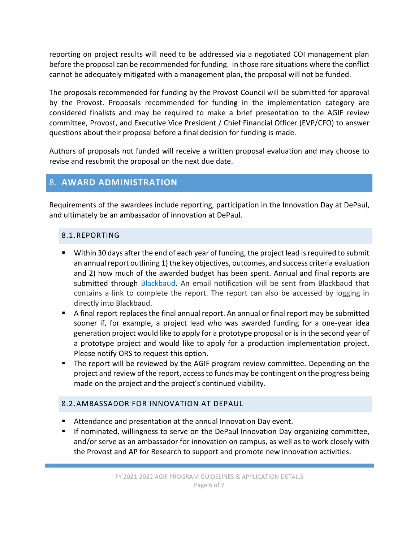reporting on project results will need to be addressed via a negotiated COI management plan before the proposal can be recommended for funding. In those rare situations where the conflict cannot be adequately mitigated with a management plan, the proposal will not be funded.

The proposals recommended for funding by the Provost Council will be submitted for approval by the Provost. Proposals recommended for funding in the implementation category are considered finalists and may be required to make a brief presentation to the AGIF review committee, Provost, and Executive Vice President / Chief Financial Officer (EVP/CFO) to answer questions about their proposal before a final decision for funding is made.

Authors of proposals not funded will receive a written proposal evaluation and may choose to revise and resubmit the proposal on the next due date.

### 8. **AWARD ADMINISTRATION**

Requirements of the awardees include reporting, participation in the Innovation Day at DePaul, and ultimately be an ambassador of innovation at DePaul.

#### 8.1.REPORTING

- Within 30 days after the end of each year of funding, the project lead is required to submit an annual report outlining 1) the key objectives, outcomes, and success criteria evaluation and 2) how much of the awarded budget has been spent. Annual and final reports are submitted through [Blackbaud.](https://depaulgrants.academicworks.com/tml) An email notification will be sent from Blackbaud that contains a link to complete the report. The report can also be accessed by logging in directly into Blackbaud.
- A final report replaces the final annual report. An annual or final report may be submitted sooner if, for example, a project lead who was awarded funding for a one-year idea generation project would like to apply for a prototype proposal or is in the second year of a prototype project and would like to apply for a production implementation project. Please notify ORS to request this option.
- The report will be reviewed by the AGIF program review committee. Depending on the project and review of the report, access to funds may be contingent on the progress being made on the project and the project's continued viability.

#### 8.2.AMBASSADOR FOR INNOVATION AT DEPAUL

- Attendance and presentation at the annual Innovation Day event.
- If nominated, willingness to serve on the DePaul Innovation Day organizing committee, and/or serve as an ambassador for innovation on campus, as well as to work closely with the Provost and AP for Research to support and promote new innovation activities.